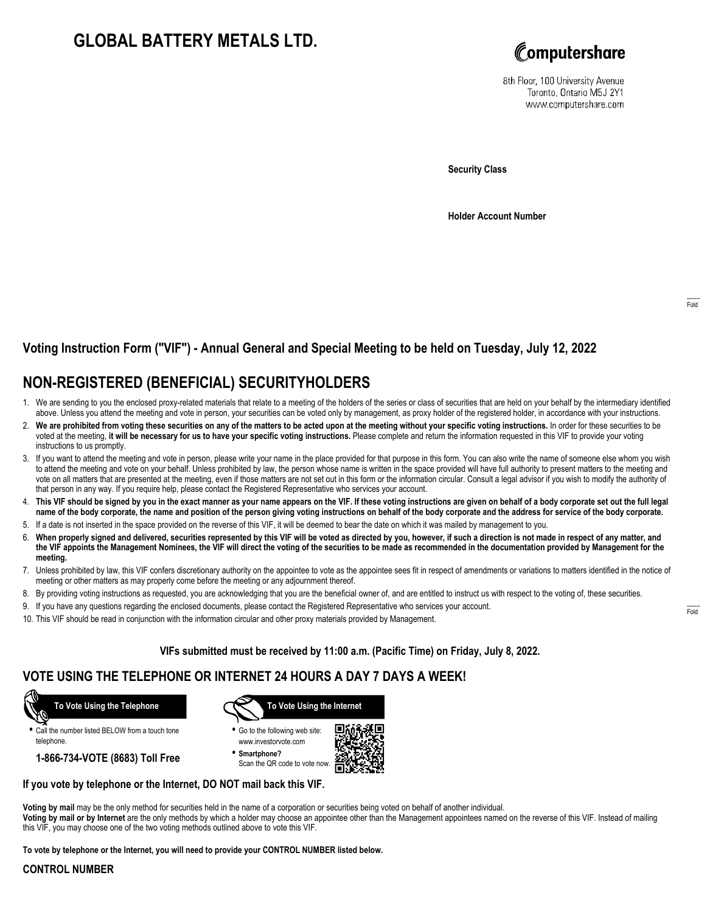## **GLOBAL BATTERY METALS LTD.**



8th Floor, 100 University Avenue Toronto, Ontario M5J 2Y1 www.computershare.com

**Security Class**

**Holder Account Number**

#### **Voting Instruction Form ("VIF") - Annual General and Special Meeting to be held on Tuesday, July 12, 2022**

### **NON-REGISTERED (BENEFICIAL) SECURITYHOLDERS**

- 1. We are sending to you the enclosed proxy-related materials that relate to a meeting of the holders of the series or class of securities that are held on your behalf by the intermediary identified above. Unless you attend the meeting and vote in person, your securities can be voted only by management, as proxy holder of the registered holder, in accordance with your instructions.
- 2. **We are prohibited from voting these securities on any of the matters to be acted upon at the meeting without your specific voting instructions.** In order for these securities to be voted at the meeting, **it will be necessary for us to have your specific voting instructions.** Please complete and return the information requested in this VIF to provide your voting instructions to us promptly.
- 3. If you want to attend the meeting and vote in person, please write your name in the place provided for that purpose in this form. You can also write the name of someone else whom you wish to attend the meeting and vote on your behalf. Unless prohibited by law, the person whose name is written in the space provided will have full authority to present matters to the meeting and vote on all matters that are presented at the meeting, even if those matters are not set out in this form or the information circular. Consult a legal advisor if you wish to modify the authority of that person in any way. If you require help, please contact the Registered Representative who services your account.
- 4. **This VIF should be signed by you in the exact manner as your name appears on the VIF. If these voting instructions are given on behalf of a body corporate set out the full legal name of the body corporate, the name and position of the person giving voting instructions on behalf of the body corporate and the address for service of the body corporate.**
- 5. If a date is not inserted in the space provided on the reverse of this VIF, it will be deemed to bear the date on which it was mailed by management to you.
- 6. **When properly signed and delivered, securities represented by this VIF will be voted as directed by you, however, if such a direction is not made in respect of any matter, and the VIF appoints the Management Nominees, the VIF will direct the voting of the securities to be made as recommended in the documentation provided by Management for the meeting.**
- 7. Unless prohibited by law, this VIF confers discretionary authority on the appointee to vote as the appointee sees fit in respect of amendments or variations to matters identified in the notice of meeting or other matters as may properly come before the meeting or any adjournment thereof.
- 8. By providing voting instructions as requested, you are acknowledging that you are the beneficial owner of, and are entitled to instruct us with respect to the voting of, these securities.
- 9. If you have any questions regarding the enclosed documents, please contact the Registered Representative who services your account.
- 10. This VIF should be read in conjunction with the information circular and other proxy materials provided by Management.

**VIFs submitted must be received by 11:00 a.m. (Pacific Time) on Friday, July 8, 2022.**

### **VOTE USING THE TELEPHONE OR INTERNET 24 HOURS A DAY 7 DAYS A WEEK!**



**•** Call the number listed BELOW from a touch tone telephone.

**1-866-734-VOTE (8683) Toll Free**



- **•** Go to the following web site: www.investorvote.com
- **• Smartphone?** Scan the QR code to vote now.



#### **If you vote by telephone or the Internet, DO NOT mail back this VIF.**

**Voting by mail** may be the only method for securities held in the name of a corporation or securities being voted on behalf of another individual. **Voting by mail or by Internet** are the only methods by which a holder may choose an appointee other than the Management appointees named on the reverse of this VIF. Instead of mailing this VIF, you may choose one of the two voting methods outlined above to vote this VIF.

**To vote by telephone or the Internet, you will need to provide your CONTROL NUMBER listed below.**

#### **CONTROL NUMBER**